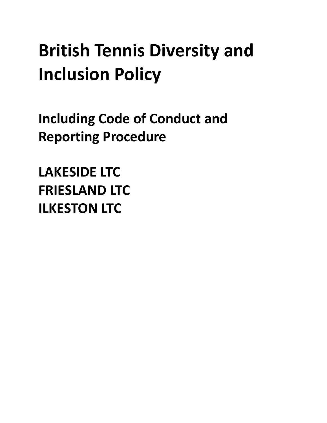# **British Tennis Diversity and Inclusion Policy**

**Including Code of Conduct and Reporting Procedure** 

**LAKESIDE LTC FRIESLAND LTC ILKESTON LTC**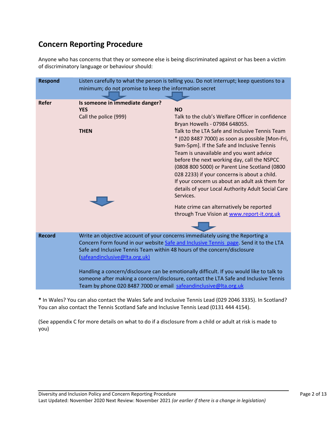# **Concern Reporting Procedure**

Anyone who has concerns that they or someone else is being discriminated against or has been a victim of discriminatory language or behaviour should:

| <b>Respond</b>                                                                       | Listen carefully to what the person is telling you. Do not interrupt; keep questions to a |                                                   |
|--------------------------------------------------------------------------------------|-------------------------------------------------------------------------------------------|---------------------------------------------------|
|                                                                                      | minimum; do not promise to keep the information secret                                    |                                                   |
|                                                                                      |                                                                                           |                                                   |
| <b>Refer</b>                                                                         | Is someone in immediate danger?<br><b>YES</b>                                             | <b>NO</b>                                         |
|                                                                                      | Call the police (999)                                                                     | Talk to the club's Welfare Officer in confidence  |
|                                                                                      |                                                                                           | Bryan Howells - 07984 648055.                     |
|                                                                                      | <b>THEN</b>                                                                               | Talk to the LTA Safe and Inclusive Tennis Team    |
|                                                                                      |                                                                                           | * (020 8487 7000) as soon as possible [Mon-Fri,   |
|                                                                                      |                                                                                           | 9am-5pm]. If the Safe and Inclusive Tennis        |
|                                                                                      |                                                                                           | Team is unavailable and you want advice           |
|                                                                                      |                                                                                           | before the next working day, call the NSPCC       |
|                                                                                      |                                                                                           | (0808 800 5000) or Parent Line Scotland (0800     |
|                                                                                      |                                                                                           | 028 2233) if your concerns is about a child.      |
|                                                                                      |                                                                                           | If your concern us about an adult ask them for    |
|                                                                                      |                                                                                           | details of your Local Authority Adult Social Care |
|                                                                                      |                                                                                           | Services.                                         |
|                                                                                      |                                                                                           | Hate crime can alternatively be reported          |
|                                                                                      |                                                                                           | through True Vision at www.report-it.org.uk       |
|                                                                                      |                                                                                           |                                                   |
| <b>Record</b>                                                                        | Write an objective account of your concerns immediately using the Reporting a             |                                                   |
|                                                                                      | Concern Form found in our website Safe and Inclusive Tennis page. Send it to the LTA      |                                                   |
|                                                                                      | Safe and Inclusive Tennis Team within 48 hours of the concern/disclosure                  |                                                   |
|                                                                                      | (safeandinclusive@Ita.org.uk)                                                             |                                                   |
|                                                                                      | Handling a concern/disclosure can be emotionally difficult. If you would like to talk to  |                                                   |
| someone after making a concern/disclosure, contact the LTA Safe and Inclusive Tennis |                                                                                           |                                                   |
|                                                                                      | Team by phone 020 8487 7000 or email safeandinclusive@Ita.org.uk                          |                                                   |

**\*** In Wales? You can also contact the Wales Safe and Inclusive Tennis Lead (029 2046 3335). In Scotland? You can also contact the Tennis Scotland Safe and Inclusive Tennis Lead (0131 444 4154).

(See appendix C for more details on what to do if a disclosure from a child or adult at risk is made to you)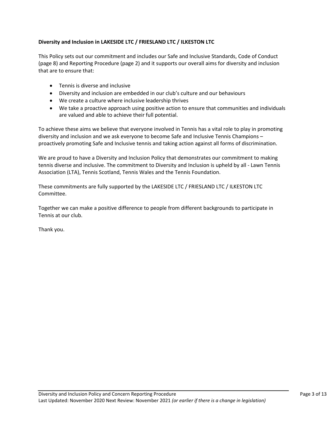# Diversity and Inclusion in LAKESIDE LTC / FRIESLAND LTC / ILKESTON LTC

This Policy sets out our commitment and includes our Safe and Inclusive Standards, Code of Conduct (page 8) and Reporting Procedure (page 2) and it supports our overall aims for diversity and inclusion that are to ensure that:

- Tennis is diverse and inclusive
- Diversity and inclusion are embedded in our club's culture and our behaviours
- We create a culture where inclusive leadership thrives
- We take a proactive approach using positive action to ensure that communities and individuals are valued and able to achieve their full potential.

To achieve these aims we believe that everyone involved in Tennis has a vital role to play in promoting diversity and inclusion and we ask everyone to become Safe and Inclusive Tennis Champions – proactively promoting Safe and Inclusive tennis and taking action against all forms of discrimination.

We are proud to have a Diversity and Inclusion Policy that demonstrates our commitment to making tennis diverse and inclusive. The commitment to Diversity and Inclusion is upheld by all - Lawn Tennis Association (LTA), Tennis Scotland, Tennis Wales and the Tennis Foundation.

These commitments are fully supported by the LAKESIDE LTC / FRIESLAND LTC / ILKESTON LTC Committee.

Together we can make a positive difference to people from different backgrounds to participate in Tennis at our club.

Thank you.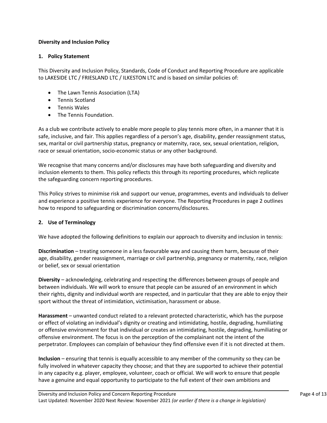# **Diversity and Inclusion Policy**

# 1. **Policy Statement**

This Diversity and Inclusion Policy, Standards, Code of Conduct and Reporting Procedure are applicable to LAKESIDE LTC / FRIESLAND LTC / ILKESTON LTC and is based on similar policies of:

- The Lawn Tennis Association (LTA)
- Tennis Scotland
- Tennis Wales
- The Tennis Foundation.

As a club we contribute actively to enable more people to play tennis more often, in a manner that it is safe, inclusive, and fair. This applies regardless of a person's age, disability, gender reassignment status, sex, marital or civil partnership status, pregnancy or maternity, race, sex, sexual orientation, religion, race or sexual orientation, socio-economic status or any other background.

We recognise that many concerns and/or disclosures may have both safeguarding and diversity and inclusion elements to them. This policy reflects this through its reporting procedures, which replicate the safeguarding concern reporting procedures.

This Policy strives to minimise risk and support our venue, programmes, events and individuals to deliver and experience a positive tennis experience for everyone. The Reporting Procedures in page 2 outlines how to respond to safeguarding or discrimination concerns/disclosures.

#### **2. Use of Terminology**

We have adopted the following definitions to explain our approach to diversity and inclusion in tennis:

**Discrimination** – treating someone in a less favourable way and causing them harm, because of their age, disability, gender reassignment, marriage or civil partnership, pregnancy or maternity, race, religion or belief, sex or sexual orientation

**Diversity** – acknowledging, celebrating and respecting the differences between groups of people and between individuals. We will work to ensure that people can be assured of an environment in which their rights, dignity and individual worth are respected, and in particular that they are able to enjoy their sport without the threat of intimidation, victimisation, harassment or abuse.

**Harassment** – unwanted conduct related to a relevant protected characteristic, which has the purpose or effect of violating an individual's dignity or creating and intimidating, hostile, degrading, humiliating or offensive environment for that individual or creates an intimidating, hostile, degrading, humiliating or offensive environment. The focus is on the perception of the complainant not the intent of the perpetrator. Employees can complain of behaviour they find offensive even if it is not directed at them.

**Inclusion** – ensuring that tennis is equally accessible to any member of the community so they can be fully involved in whatever capacity they choose; and that they are supported to achieve their potential in any capacity e.g. player, employee, volunteer, coach or official. We will work to ensure that people have a genuine and equal opportunity to participate to the full extent of their own ambitions and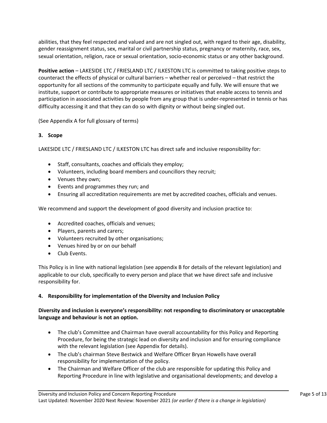abilities, that they feel respected and valued and are not singled out, with regard to their age, disability, gender reassignment status, sex, marital or civil partnership status, pregnancy or maternity, race, sex, sexual orientation, religion, race or sexual orientation, socio-economic status or any other background.

**Positive action** – LAKESIDE LTC / FRIESLAND LTC / ILKESTON LTC is committed to taking positive steps to counteract the effects of physical or cultural barriers – whether real or perceived – that restrict the opportunity for all sections of the community to participate equally and fully. We will ensure that we institute, support or contribute to appropriate measures or initiatives that enable access to tennis and participation in associated activities by people from any group that is under-represented in tennis or has difficulty accessing it and that they can do so with dignity or without being singled out.

(See Appendix A for full glossary of terms)

# **3. Scope**

LAKESIDE LTC / FRIESLAND LTC / ILKESTON LTC has direct safe and inclusive responsibility for:

- Staff, consultants, coaches and officials they employ;
- Volunteers, including board members and councillors they recruit;
- Venues they own;
- Events and programmes they run; and
- Ensuring all accreditation requirements are met by accredited coaches, officials and venues.

We recommend and support the development of good diversity and inclusion practice to:

- Accredited coaches, officials and venues;
- Players, parents and carers;
- Volunteers recruited by other organisations;
- Venues hired by or on our behalf
- Club Events.

This Policy is in line with national legislation (see appendix B for details of the relevant legislation) and applicable to our club, specifically to every person and place that we have direct safe and inclusive responsibility for.

# 4. Responsibility for implementation of the Diversity and Inclusion Policy

# Diversity and inclusion is everyone's responsibility: not responding to discriminatory or unacceptable language and behaviour is not an option.

- The club's Committee and Chairman have overall accountability for this Policy and Reporting Procedure, for being the strategic lead on diversity and inclusion and for ensuring compliance with the relevant legislation (see Appendix for details).
- The club's chairman Steve Bestwick and Welfare Officer Bryan Howells have overall responsibility for implementation of the policy.
- The Chairman and Welfare Officer of the club are responsible for updating this Policy and Reporting Procedure in line with legislative and organisational developments; and develop a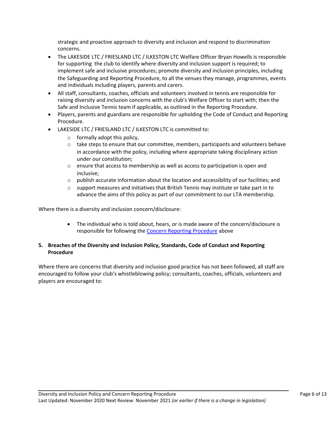strategic and proactive approach to diversity and inclusion and respond to discrimination concerns.

- The LAKESIDE LTC / FRIESLAND LTC / ILKESTON LTC Welfare Officer Bryan Howells is responsible for supporting the club to identify where diversity and inclusion support is required; to implement safe and inclusive procedures; promote diversity and inclusion principles, including the Safeguarding and Reporting Procedure, to all the venues they manage, programmes, events and individuals including players, parents and carers.
- All staff, consultants, coaches, officials and volunteers involved in tennis are responsible for raising diversity and inclusion concerns with the club's Welfare Officer to start with; then the Safe and Inclusive Tennis team if applicable, as outlined in the Reporting Procedure.
- Players, parents and guardians are responsible for upholding the Code of Conduct and Reporting Procedure.
- LAKESIDE LTC / FRIESLAND LTC / ILKESTON LTC is committed to:
	- $\circ$  formally adopt this policy,
	- $\circ$  take steps to ensure that our committee, members, participants and volunteers behave in accordance with the policy, including where appropriate taking disciplinary action under our constitution;
	- $\circ$  ensure that access to membership as well as access to participation is open and inclusive;
	- $\circ$  publish accurate information about the location and accessibility of our facilities; and
	- $\circ$  support measures and initiatives that British Tennis may institute or take part in to advance the aims of this policy as part of our commitment to our LTA membership.

Where there is a diversity and inclusion concern/disclosure:

• The individual who is told about, hears, or is made aware of the concern/disclosure is responsible for following the Concern Reporting Procedure above

# **5.** Breaches of the Diversity and Inclusion Policy, Standards, Code of Conduct and Reporting **Procedure**

Where there are concerns that diversity and inclusion good practice has not been followed, all staff are encouraged to follow your club's whistleblowing policy; consultants, coaches, officials, volunteers and players are encouraged to: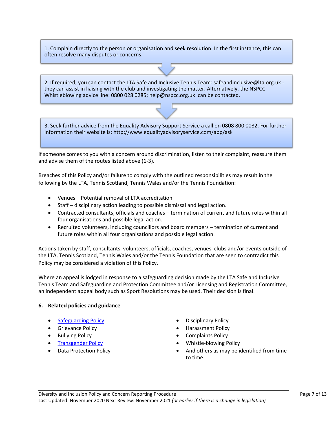1. Complain directly to the person or organisation and seek resolution. In the first instance, this can often resolve many disputes or concerns.

2. If required, you can contact the LTA Safe and Inclusive Tennis Team: safeandinclusive@lta.org.uk they can assist in liaising with the club and investigating the matter. Alternatively, the NSPCC Whistleblowing advice line: 0800 028 0285; help@nspcc.org.uk can be contacted.

3. Seek further advice from the Equality Advisory Support Service a call on 0808 800 0082. For further information their website is: http://www.equalityadvisoryservice.com/app/ask

If someone comes to you with a concern around discrimination, listen to their complaint, reassure them and advise them of the routes listed above (1-3).

Breaches of this Policy and/or failure to comply with the outlined responsibilities may result in the following by the LTA, Tennis Scotland, Tennis Wales and/or the Tennis Foundation:

- Venues Potential removal of LTA accreditation
- Staff disciplinary action leading to possible dismissal and legal action.
- Contracted consultants, officials and coaches termination of current and future roles within all four organisations and possible legal action.
- Recruited volunteers, including councillors and board members termination of current and future roles within all four organisations and possible legal action.

Actions taken by staff, consultants, volunteers, officials, coaches, venues, clubs and/or events outside of the LTA, Tennis Scotland, Tennis Wales and/or the Tennis Foundation that are seen to contradict this Policy may be considered a violation of this Policy.

Where an appeal is lodged in response to a safeguarding decision made by the LTA Safe and Inclusive Tennis Team and Safeguarding and Protection Committee and/or Licensing and Registration Committee, an independent appeal body such as Sport Resolutions may be used. Their decision is final.

#### **6. Related policies and guidance**

- 
- 
- 
- 
- 
- Safeguarding Policy **Example 20** and  $\bullet$  Disciplinary Policy
- Grievance Policy  **Harassment Policy Harassment Policy** 
	- **Bullying Policy Complaints Policy**
	- **Fransgender Policy Whistle-blowing Policy**
- Data Protection Policy  **And others** as may be identified from time to time.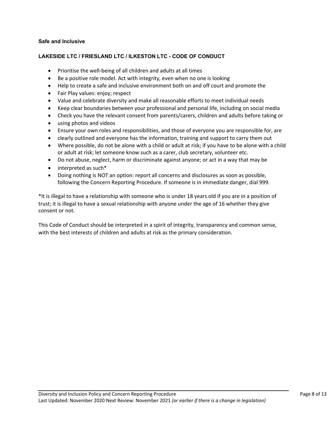# **Safe and Inclusive**

# **LAKESIDE LTC / FRIESLAND LTC / ILKESTON LTC - CODE OF CONDUCT**

- Prioritise the well-being of all children and adults at all times
- Be a positive role model. Act with integrity, even when no one is looking
- Help to create a safe and inclusive environment both on and off court and promote the
- Fair Play values: enjoy; respect
- Value and celebrate diversity and make all reasonable efforts to meet individual needs
- Keep clear boundaries between your professional and personal life, including on social media
- Check you have the relevant consent from parents/carers, children and adults before taking or
- using photos and videos
- Ensure your own roles and responsibilities, and those of everyone you are responsible for, are
- clearly outlined and everyone has the information, training and support to carry them out
- Where possible, do not be alone with a child or adult at risk; if you have to be alone with a child or adult at risk; let someone know such as a carer, club secretary, volunteer etc.
- Do not abuse, neglect, harm or discriminate against anyone; or act in a way that may be
- $\bullet$  interpreted as such\*
- Doing nothing is NOT an option: report all concerns and disclosures as soon as possible, following the Concern Reporting Procedure. If someone is in immediate danger, dial 999.

\*It is illegal to have a relationship with someone who is under 18 years old if you are in a position of trust; it is illegal to have a sexual relationship with anyone under the age of 16 whether they give consent or not.

This Code of Conduct should be interpreted in a spirit of integrity, transparency and common sense, with the best interests of children and adults at risk as the primary consideration.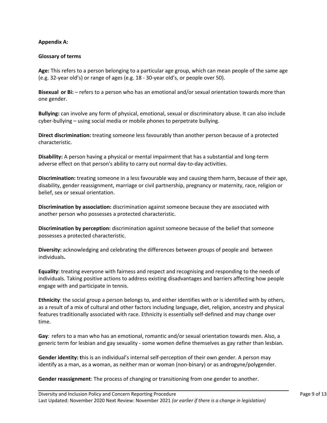#### **Appendix A:**

# **Glossary of terms**

Age: This refers to a person belonging to a particular age group, which can mean people of the same age (e.g. 32-year old's) or range of ages (e.g. 18 - 30-year old's, or people over 50).

**Bisexual or Bi:** – refers to a person who has an emotional and/or sexual orientation towards more than one gender.

**Bullying:** can involve any form of physical, emotional, sexual or discriminatory abuse. It can also include  $cyber$ -bullying – using social media or mobile phones to perpetrate bullying.

**Direct discrimination:** treating someone less favourably than another person because of a protected characteristic.

**Disability:** A person having a physical or mental impairment that has a substantial and long-term adverse effect on that person's ability to carry out normal day-to-day activities.

**Discrimination:** treating someone in a less favourable way and causing them harm, because of their age, disability, gender reassignment, marriage or civil partnership, pregnancy or maternity, race, religion or belief, sex or sexual orientation.

**Discrimination by association:** discrimination against someone because they are associated with another person who possesses a protected characteristic.

**Discrimination by perception:** discrimination against someone because of the belief that someone possesses a protected characteristic.

Diversity: acknowledging and celebrating the differences between groups of people and between individuals**.**

**Equality:** treating everyone with fairness and respect and recognising and responding to the needs of individuals. Taking positive actions to address existing disadvantages and barriers affecting how people engage with and participate in tennis.

**Ethnicity**: the social group a person belongs to, and either identifies with or is identified with by others, as a result of a mix of cultural and other factors including language, diet, religion, ancestry and physical features traditionally associated with race. Ethnicity is essentially self-defined and may change over time.

**Gay**: refers to a man who has an emotional, romantic and/or sexual orientation towards men. Also, a generic term for lesbian and gay sexuality - some women define themselves as gay rather than lesbian.

**Gender identity:** this is an individual's internal self-perception of their own gender. A person may identify as a man, as a woman, as neither man or woman (non-binary) or as androgyne/polygender.

**Gender reassignment**: The process of changing or transitioning from one gender to another.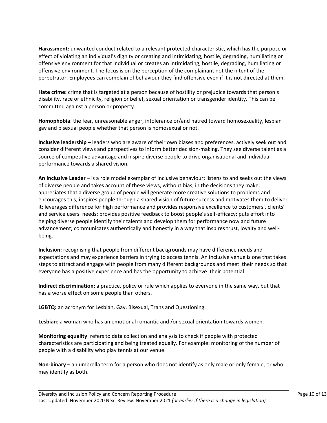**Harassment:** unwanted conduct related to a relevant protected characteristic, which has the purpose or effect of violating an individual's dignity or creating and intimidating, hostile, degrading, humiliating or offensive environment for that individual or creates an intimidating, hostile, degrading, humiliating or offensive environment. The focus is on the perception of the complainant not the intent of the perpetrator. Employees can complain of behaviour they find offensive even if it is not directed at them.

**Hate crime:** crime that is targeted at a person because of hostility or prejudice towards that person's disability, race or ethnicity, religion or belief, sexual orientation or transgender identity. This can be committed against a person or property.

**Homophobia**: the fear, unreasonable anger, intolerance or/and hatred toward homosexuality, lesbian gay and bisexual people whether that person is homosexual or not.

**Inclusive leadership** – leaders who are aware of their own biases and preferences, actively seek out and consider different views and perspectives to inform better decision-making. They see diverse talent as a source of competitive advantage and inspire diverse people to drive organisational and individual performance towards a shared vision.

**An Inclusive Leader** – is a role model exemplar of inclusive behaviour; listens to and seeks out the views of diverse people and takes account of these views, without bias, in the decisions they make; appreciates that a diverse group of people will generate more creative solutions to problems and encourages this; inspires people through a shared vision of future success and motivates them to deliver it; leverages difference for high performance and provides responsive excellence to customers', clients' and service users' needs; provides positive feedback to boost people's self-efficacy; puts effort into helping diverse people identify their talents and develop them for performance now and future advancement; communicates authentically and honestly in a way that inspires trust, loyalty and wellbeing.

**Inclusion:** recognising that people from different backgrounds may have difference needs and expectations and may experience barriers in trying to access tennis. An inclusive venue is one that takes steps to attract and engage with people from many different backgrounds and meet their needs so that everyone has a positive experience and has the opportunity to achieve their potential.

**Indirect discrimination:** a practice, policy or rule which applies to everyone in the same way, but that has a worse effect on some people than others.

**LGBTQ:** an acronym for Lesbian, Gay, Bisexual, Trans and Questioning.

Lesbian: a woman who has an emotional romantic and /or sexual orientation towards women.

**Monitoring equality**: refers to data collection and analysis to check if people with protected characteristics are participating and being treated equally. For example: monitoring of the number of people with a disability who play tennis at our venue.

**Non-binary** – an umbrella term for a person who does not identify as only male or only female, or who may identify as both.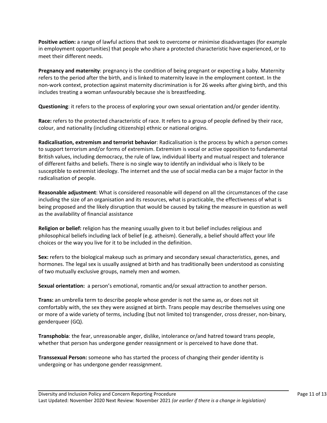**Positive action:** a range of lawful actions that seek to overcome or minimise disadvantages (for example in employment opportunities) that people who share a protected characteristic have experienced, or to meet their different needs.

**Pregnancy and maternity**: pregnancy is the condition of being pregnant or expecting a baby. Maternity refers to the period after the birth, and is linked to maternity leave in the employment context. In the non-work context, protection against maternity discrimination is for 26 weeks after giving birth, and this includes treating a woman unfavourably because she is breastfeeding.

**Questioning**: it refers to the process of exploring your own sexual orientation and/or gender identity.

**Race:** refers to the protected characteristic of race. It refers to a group of people defined by their race, colour, and nationality (including citizenship) ethnic or national origins.

**Radicalisation, extremism and terrorist behavior**: Radicalisation is the process by which a person comes to support terrorism and/or forms of extremism. Extremism is vocal or active opposition to fundamental British values, including democracy, the rule of law, individual liberty and mutual respect and tolerance of different faiths and beliefs. There is no single way to identify an individual who is likely to be susceptible to extremist ideology. The internet and the use of social media can be a major factor in the radicalisation of people.

**Reasonable adjustment**: What is considered reasonable will depend on all the circumstances of the case including the size of an organisation and its resources, what is practicable, the effectiveness of what is being proposed and the likely disruption that would be caused by taking the measure in question as well as the availability of financial assistance

**Religion or belief:** religion has the meaning usually given to it but belief includes religious and philosophical beliefs including lack of belief (e.g. atheism). Generally, a belief should affect your life choices or the way you live for it to be included in the definition.

**Sex:** refers to the biological makeup such as primary and secondary sexual characteristics, genes, and hormones. The legal sex is usually assigned at birth and has traditionally been understood as consisting of two mutually exclusive groups, namely men and women.

**Sexual orientation:** a person's emotional, romantic and/or sexual attraction to another person.

**Trans:** an umbrella term to describe people whose gender is not the same as, or does not sit comfortably with, the sex they were assigned at birth. Trans people may describe themselves using one or more of a wide variety of terms, including (but not limited to) transgender, cross dresser, non-binary, genderqueer (GQ).

**Transphobia**: the fear, unreasonable anger, dislike, intolerance or/and hatred toward trans people, whether that person has undergone gender reassignment or is perceived to have done that.

**Transsexual Person:** someone who has started the process of changing their gender identity is undergoing or has undergone gender reassignment.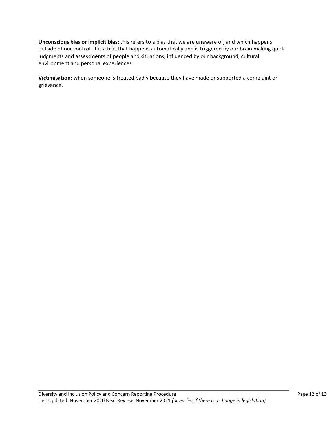**Unconscious bias or implicit bias:** this refers to a bias that we are unaware of, and which happens outside of our control. It is a bias that happens automatically and is triggered by our brain making quick judgments and assessments of people and situations, influenced by our background, cultural environment and personal experiences.

Victimisation: when someone is treated badly because they have made or supported a complaint or grievance.